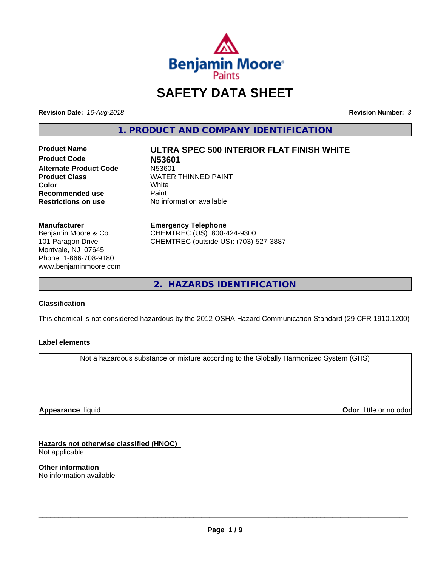

# **SAFETY DATA SHEET**

**Revision Date:** *16-Aug-2018* **Revision Number:** *3*

**1. PRODUCT AND COMPANY IDENTIFICATION**

**Product Name ULTRA SPEC 500 INTERIOR FLAT FINISH WHITE Product Code N53601 Alternate Product Code**<br>Product Class **Recommended use** Paint<br> **Restrictions on use** No inf

**WATER THINNED PAINT**<br>White **Color** White White **No information available** 

**Manufacturer** Benjamin Moore & Co. 101 Paragon Drive Montvale, NJ 07645 Phone: 1-866-708-9180 www.benjaminmoore.com

#### **Emergency Telephone**

CHEMTREC (US): 800-424-9300 CHEMTREC (outside US): (703)-527-3887

**2. HAZARDS IDENTIFICATION**

#### **Classification**

This chemical is not considered hazardous by the 2012 OSHA Hazard Communication Standard (29 CFR 1910.1200)

#### **Label elements**

Not a hazardous substance or mixture according to the Globally Harmonized System (GHS)

**Appearance** liquid

**Odor** little or no odor

**Hazards not otherwise classified (HNOC)** Not applicable

**Other information** No information available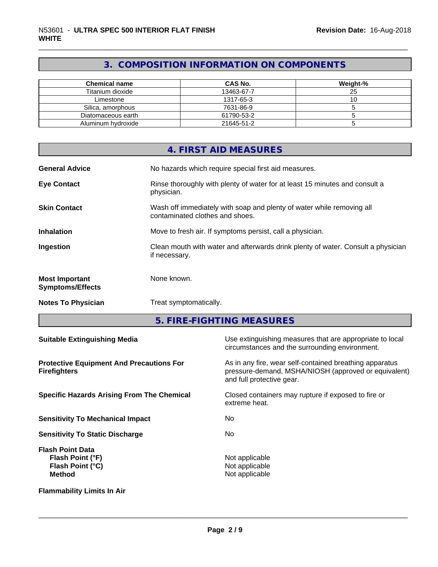# **3. COMPOSITION INFORMATION ON COMPONENTS**

| <b>Chemical name</b> | <b>CAS No.</b> | Weight-% |
|----------------------|----------------|----------|
| Titanium dioxide     | 13463-67-7     | 25       |
| Limestone            | 1317-65-3      | ັບ       |
| Silica, amorphous    | 7631-86-9      |          |
| Diatomaceous earth   | 61790-53-2     |          |
| Aluminum hydroxide   | 21645-51-2     |          |

|                                                  | 4. FIRST AID MEASURES                                                                                    |
|--------------------------------------------------|----------------------------------------------------------------------------------------------------------|
| <b>General Advice</b>                            | No hazards which require special first aid measures.                                                     |
| <b>Eye Contact</b>                               | Rinse thoroughly with plenty of water for at least 15 minutes and consult a<br>physician.                |
| <b>Skin Contact</b>                              | Wash off immediately with soap and plenty of water while removing all<br>contaminated clothes and shoes. |
| <b>Inhalation</b>                                | Move to fresh air. If symptoms persist, call a physician.                                                |
| Ingestion                                        | Clean mouth with water and afterwards drink plenty of water. Consult a physician<br>if necessary.        |
| <b>Most Important</b><br><b>Symptoms/Effects</b> | None known.                                                                                              |
| <b>Notes To Physician</b>                        | Treat symptomatically.                                                                                   |

**5. FIRE-FIGHTING MEASURES**

| <b>Suitable Extinguishing Media</b>                                              | Use extinguishing measures that are appropriate to local<br>circumstances and the surrounding environment.                                   |
|----------------------------------------------------------------------------------|----------------------------------------------------------------------------------------------------------------------------------------------|
| <b>Protective Equipment And Precautions For</b><br><b>Firefighters</b>           | As in any fire, wear self-contained breathing apparatus<br>pressure-demand, MSHA/NIOSH (approved or equivalent)<br>and full protective gear. |
| <b>Specific Hazards Arising From The Chemical</b>                                | Closed containers may rupture if exposed to fire or<br>extreme heat.                                                                         |
| <b>Sensitivity To Mechanical Impact</b>                                          | No.                                                                                                                                          |
| <b>Sensitivity To Static Discharge</b>                                           | No.                                                                                                                                          |
| <b>Flash Point Data</b><br>Flash Point (°F)<br>Flash Point (°C)<br><b>Method</b> | Not applicable<br>Not applicable<br>Not applicable                                                                                           |
| <b>Flammability Limits In Air</b>                                                |                                                                                                                                              |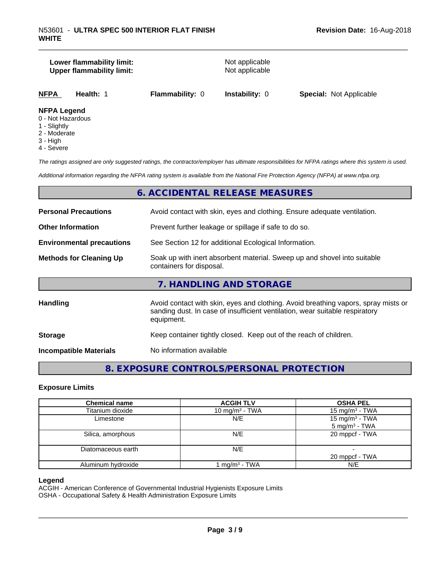# **Lower flammability limit:**<br> **Upper flammability limit:**<br>
Upper flammability limit:<br>
Not applicable **Upper flammability limit:**

| <b>NFPA</b><br><b>Special: Not Applicable</b><br><b>Flammability: 0 Instability: 0</b><br><b>Health: 1</b> |
|------------------------------------------------------------------------------------------------------------|
|------------------------------------------------------------------------------------------------------------|

#### **NFPA Legend**

- 0 Not Hazardous
- 1 Slightly
- 2 Moderate
- 3 High
- 4 Severe

*The ratings assigned are only suggested ratings, the contractor/employer has ultimate responsibilities for NFPA ratings where this system is used.*

*Additional information regarding the NFPA rating system is available from the National Fire Protection Agency (NFPA) at www.nfpa.org.*

# **6. ACCIDENTAL RELEASE MEASURES**

| <b>Personal Precautions</b>      | Avoid contact with skin, eyes and clothing. Ensure adequate ventilation.                                                                                                         |
|----------------------------------|----------------------------------------------------------------------------------------------------------------------------------------------------------------------------------|
| <b>Other Information</b>         | Prevent further leakage or spillage if safe to do so.                                                                                                                            |
| <b>Environmental precautions</b> | See Section 12 for additional Ecological Information.                                                                                                                            |
| <b>Methods for Cleaning Up</b>   | Soak up with inert absorbent material. Sweep up and shovel into suitable<br>containers for disposal.                                                                             |
|                                  | 7. HANDLING AND STORAGE                                                                                                                                                          |
| Handling                         | Avoid contact with skin, eyes and clothing. Avoid breathing vapors, spray mists or<br>sanding dust. In case of insufficient ventilation, wear suitable respiratory<br>equipment. |
| <b>Storage</b>                   | Keep container tightly closed. Keep out of the reach of children.                                                                                                                |
| <b>Incompatible Materials</b>    | No information available                                                                                                                                                         |

# **8. EXPOSURE CONTROLS/PERSONAL PROTECTION**

#### **Exposure Limits**

| <b>Chemical name</b> | <b>ACGIH TLV</b>           | <b>OSHA PEL</b>                                         |
|----------------------|----------------------------|---------------------------------------------------------|
| Titanium dioxide     | 10 mg/m <sup>3</sup> - TWA | 15 mg/m <sup>3</sup> - TWA                              |
| Limestone            | N/E                        | 15 mg/m <sup>3</sup> - TWA<br>5 mg/m <sup>3</sup> - TWA |
| Silica, amorphous    | N/E                        | 20 mppcf - TWA                                          |
| Diatomaceous earth   | N/E                        |                                                         |
|                      |                            | 20 mppcf - TWA                                          |
| Aluminum hydroxide   | mg/m <sup>3</sup> - TWA    | N/E                                                     |

#### **Legend**

ACGIH - American Conference of Governmental Industrial Hygienists Exposure Limits

OSHA - Occupational Safety & Health Administration Exposure Limits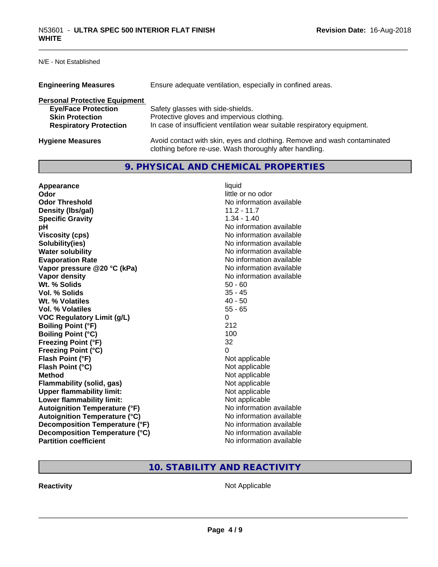N/E - Not Established

| <b>Engineering Measures</b>          | Ensure adequate ventilation, especially in confined areas.                                                                          |
|--------------------------------------|-------------------------------------------------------------------------------------------------------------------------------------|
| <b>Personal Protective Equipment</b> |                                                                                                                                     |
| <b>Eye/Face Protection</b>           | Safety glasses with side-shields.                                                                                                   |
| <b>Skin Protection</b>               | Protective gloves and impervious clothing.                                                                                          |
| <b>Respiratory Protection</b>        | In case of insufficient ventilation wear suitable respiratory equipment.                                                            |
| <b>Hygiene Measures</b>              | Avoid contact with skin, eyes and clothing. Remove and wash contaminated<br>clothing before re-use. Wash thoroughly after handling. |

# **9. PHYSICAL AND CHEMICAL PROPERTIES**

| Appearance                           | liquid                   |
|--------------------------------------|--------------------------|
| Odor                                 | little or no odor        |
| <b>Odor Threshold</b>                | No information available |
| Density (Ibs/gal)                    | $11.2 - 11.7$            |
| <b>Specific Gravity</b>              | $1.34 - 1.40$            |
| рH                                   | No information available |
| <b>Viscosity (cps)</b>               | No information available |
| Solubility(ies)                      | No information available |
| <b>Water solubility</b>              | No information available |
| <b>Evaporation Rate</b>              | No information available |
| Vapor pressure @20 °C (kPa)          | No information available |
| Vapor density                        | No information available |
| Wt. % Solids                         | $50 - 60$                |
| Vol. % Solids                        | $35 - 45$                |
| Wt. % Volatiles                      | $40 - 50$                |
| Vol. % Volatiles                     | $55 - 65$                |
| <b>VOC Regulatory Limit (g/L)</b>    | 0                        |
| <b>Boiling Point (°F)</b>            | 212                      |
| <b>Boiling Point (°C)</b>            | 100                      |
| <b>Freezing Point (°F)</b>           | 32                       |
| <b>Freezing Point (°C)</b>           | 0                        |
| Flash Point (°F)                     | Not applicable           |
| Flash Point (°C)                     | Not applicable           |
| <b>Method</b>                        | Not applicable           |
| <b>Flammability (solid, gas)</b>     | Not applicable           |
| <b>Upper flammability limit:</b>     | Not applicable           |
| Lower flammability limit:            | Not applicable           |
| <b>Autoignition Temperature (°F)</b> | No information available |
| <b>Autoignition Temperature (°C)</b> | No information available |
| Decomposition Temperature (°F)       | No information available |
| Decomposition Temperature (°C)       | No information available |
| <b>Partition coefficient</b>         | No information available |

# **10. STABILITY AND REACTIVITY**

**Reactivity Not Applicable** Not Applicable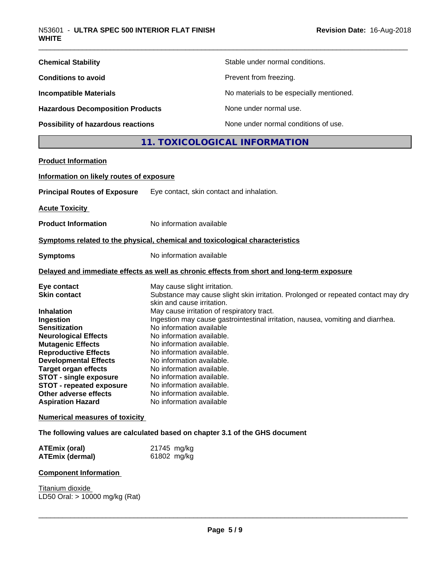| <b>Chemical Stability</b>               | Stable under normal conditions.          |
|-----------------------------------------|------------------------------------------|
| <b>Conditions to avoid</b>              | Prevent from freezing.                   |
| <b>Incompatible Materials</b>           | No materials to be especially mentioned. |
| <b>Hazardous Decomposition Products</b> | None under normal use.                   |
| Possibility of hazardous reactions      | None under normal conditions of use.     |

# **11. TOXICOLOGICAL INFORMATION**

| <b>Product Information</b>               |                                                                                                                 |
|------------------------------------------|-----------------------------------------------------------------------------------------------------------------|
| Information on likely routes of exposure |                                                                                                                 |
| <b>Principal Routes of Exposure</b>      | Eye contact, skin contact and inhalation.                                                                       |
| <b>Acute Toxicity</b>                    |                                                                                                                 |
| <b>Product Information</b>               | No information available                                                                                        |
|                                          | Symptoms related to the physical, chemical and toxicological characteristics                                    |
| <b>Symptoms</b>                          | No information available                                                                                        |
|                                          | Delayed and immediate effects as well as chronic effects from short and long-term exposure                      |
| Eye contact                              | May cause slight irritation.                                                                                    |
| <b>Skin contact</b>                      | Substance may cause slight skin irritation. Prolonged or repeated contact may dry<br>skin and cause irritation. |
| <b>Inhalation</b>                        | May cause irritation of respiratory tract.                                                                      |
| Ingestion                                | Ingestion may cause gastrointestinal irritation, nausea, vomiting and diarrhea.                                 |
| <b>Sensitization</b>                     | No information available                                                                                        |
| <b>Neurological Effects</b>              | No information available.                                                                                       |
| <b>Mutagenic Effects</b>                 | No information available.                                                                                       |
| <b>Reproductive Effects</b>              | No information available.                                                                                       |
| <b>Developmental Effects</b>             | No information available.                                                                                       |
| <b>Target organ effects</b>              | No information available.                                                                                       |
| <b>STOT - single exposure</b>            | No information available.                                                                                       |
| <b>STOT - repeated exposure</b>          | No information available.                                                                                       |
| Other adverse effects                    | No information available.                                                                                       |
| <b>Aspiration Hazard</b>                 | No information available                                                                                        |
| <b>Numerical measures of toxicity</b>    |                                                                                                                 |

**The following values are calculated based on chapter 3.1 of the GHS document**

| <b>ATEmix (oral)</b>   | 21745 mg/kg |
|------------------------|-------------|
| <b>ATEmix (dermal)</b> | 61802 mg/kg |

#### **Component Information**

Titanium dioxide LD50 Oral: > 10000 mg/kg (Rat)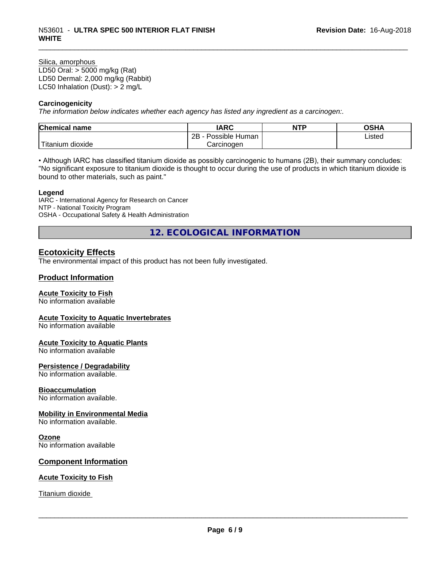#### Silica, amorphous LD50 Oral: > 5000 mg/kg (Rat) LD50 Dermal: 2,000 mg/kg (Rabbit) LC50 Inhalation (Dust): > 2 mg/L

#### **Carcinogenicity**

*The information below indicateswhether each agency has listed any ingredient as a carcinogen:.*

| <b>Chemical name</b>        | <b>IARC</b>                      | NTP | ດເ⊔∧<br>∪אח |
|-----------------------------|----------------------------------|-----|-------------|
|                             | . .<br>2B<br>Possible<br>≀ Human |     | Listed      |
| . dioxide<br><b>itanium</b> | Carcinoɑen                       |     |             |

• Although IARC has classified titanium dioxide as possibly carcinogenic to humans (2B), their summary concludes: "No significant exposure to titanium dioxide is thought to occur during the use of products in which titanium dioxide is bound to other materials, such as paint."

#### **Legend**

IARC - International Agency for Research on Cancer NTP - National Toxicity Program OSHA - Occupational Safety & Health Administration

**12. ECOLOGICAL INFORMATION**

# **Ecotoxicity Effects**

The environmental impact of this product has not been fully investigated.

#### **Product Information**

#### **Acute Toxicity to Fish**

No information available

#### **Acute Toxicity to Aquatic Invertebrates**

No information available

#### **Acute Toxicity to Aquatic Plants**

No information available

#### **Persistence / Degradability**

No information available.

#### **Bioaccumulation**

No information available.

#### **Mobility in Environmental Media**

No information available.

#### **Ozone**

No information available

#### **Component Information**

#### **Acute Toxicity to Fish**

Titanium dioxide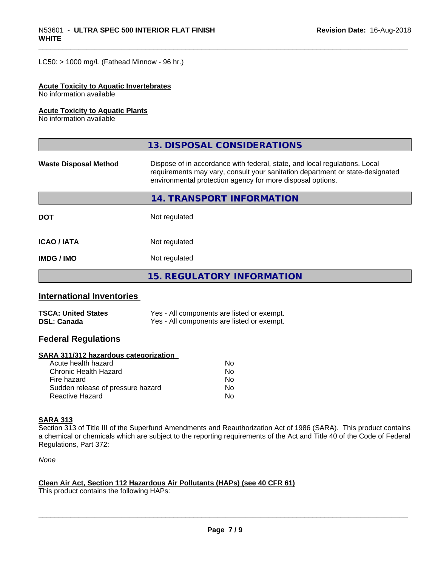$LC50:$  > 1000 mg/L (Fathead Minnow - 96 hr.)

#### **Acute Toxicity to Aquatic Invertebrates**

No information available

#### **Acute Toxicity to Aquatic Plants**

No information available

|                              | 13. DISPOSAL CONSIDERATIONS                                                                                                                                                                                               |  |
|------------------------------|---------------------------------------------------------------------------------------------------------------------------------------------------------------------------------------------------------------------------|--|
| <b>Waste Disposal Method</b> | Dispose of in accordance with federal, state, and local regulations. Local<br>requirements may vary, consult your sanitation department or state-designated<br>environmental protection agency for more disposal options. |  |
|                              | 14. TRANSPORT INFORMATION                                                                                                                                                                                                 |  |
| <b>DOT</b>                   | Not regulated                                                                                                                                                                                                             |  |
| <b>ICAO/IATA</b>             | Not regulated                                                                                                                                                                                                             |  |
| <b>IMDG / IMO</b>            | Not regulated                                                                                                                                                                                                             |  |
|                              | <b>15. REGULATORY INFORMATION</b>                                                                                                                                                                                         |  |

# **International Inventories**

| <b>TSCA: United States</b> | Yes - All components are listed or exempt. |
|----------------------------|--------------------------------------------|
| <b>DSL: Canada</b>         | Yes - All components are listed or exempt. |

### **Federal Regulations**

#### **SARA 311/312 hazardous categorization**

| Acute health hazard               | No. |
|-----------------------------------|-----|
| Chronic Health Hazard             | No. |
| Fire hazard                       | No. |
| Sudden release of pressure hazard | Nο  |
| Reactive Hazard                   | N٥  |

### **SARA 313**

Section 313 of Title III of the Superfund Amendments and Reauthorization Act of 1986 (SARA). This product contains a chemical or chemicals which are subject to the reporting requirements of the Act and Title 40 of the Code of Federal Regulations, Part 372:

*None*

#### **Clean Air Act,Section 112 Hazardous Air Pollutants (HAPs) (see 40 CFR 61)**

This product contains the following HAPs: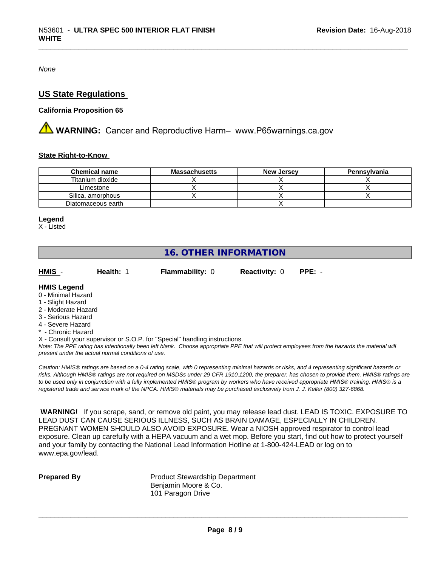*None*

# **US State Regulations**

#### **California Proposition 65**

**A** WARNING: Cancer and Reproductive Harm– www.P65warnings.ca.gov

#### **State Right-to-Know**

| <b>Chemical name</b> | <b>Massachusetts</b> | <b>New Jersey</b> | Pennsylvania |
|----------------------|----------------------|-------------------|--------------|
| Titanium dioxide     |                      |                   |              |
| Limestone            |                      |                   |              |
| Silica, amorphous    |                      |                   |              |
| Diatomaceous earth   |                      |                   |              |

#### **Legend**

X - Listed

# **16. OTHER INFORMATION**

**HMIS** - **Health:** 1 **Flammability:** 0 **Reactivity:** 0 **PPE:** -

#### **HMIS Legend**

- 0 Minimal Hazard
- 1 Slight Hazard
- 2 Moderate Hazard
- 3 Serious Hazard
- 4 Severe Hazard
- **Chronic Hazard**
- X Consult your supervisor or S.O.P. for "Special" handling instructions.

*Note: The PPE rating has intentionally been left blank. Choose appropriate PPE that will protect employees from the hazards the material will present under the actual normal conditions of use.*

*Caution: HMISÒ ratings are based on a 0-4 rating scale, with 0 representing minimal hazards or risks, and 4 representing significant hazards or risks. Although HMISÒ ratings are not required on MSDSs under 29 CFR 1910.1200, the preparer, has chosen to provide them. HMISÒ ratings are to be used only in conjunction with a fully implemented HMISÒ program by workers who have received appropriate HMISÒ training. HMISÒ is a registered trade and service mark of the NPCA. HMISÒ materials may be purchased exclusively from J. J. Keller (800) 327-6868.*

 **WARNING!** If you scrape, sand, or remove old paint, you may release lead dust. LEAD IS TOXIC. EXPOSURE TO LEAD DUST CAN CAUSE SERIOUS ILLNESS, SUCH AS BRAIN DAMAGE, ESPECIALLY IN CHILDREN. PREGNANT WOMEN SHOULD ALSO AVOID EXPOSURE.Wear a NIOSH approved respirator to control lead exposure. Clean up carefully with a HEPA vacuum and a wet mop. Before you start, find out how to protect yourself and your family by contacting the National Lead Information Hotline at 1-800-424-LEAD or log on to www.epa.gov/lead.

**Prepared By** Product Stewardship Department Benjamin Moore & Co. 101 Paragon Drive